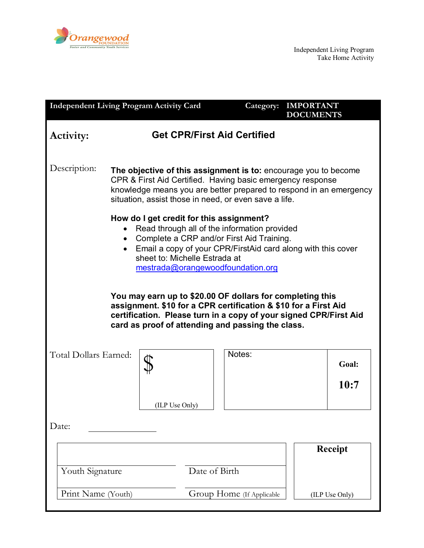

| <b>Independent Living Program Activity Card</b>                                                                                                                                                                                                                                                                                                                                                                                                                                                                                           |                                                                                                                                                                                                                                                              |               | Category:                 | <b>IMPORTANT</b><br><b>DOCUMENTS</b> |
|-------------------------------------------------------------------------------------------------------------------------------------------------------------------------------------------------------------------------------------------------------------------------------------------------------------------------------------------------------------------------------------------------------------------------------------------------------------------------------------------------------------------------------------------|--------------------------------------------------------------------------------------------------------------------------------------------------------------------------------------------------------------------------------------------------------------|---------------|---------------------------|--------------------------------------|
| <b>Activity:</b>                                                                                                                                                                                                                                                                                                                                                                                                                                                                                                                          | <b>Get CPR/First Aid Certified</b>                                                                                                                                                                                                                           |               |                           |                                      |
| Description:                                                                                                                                                                                                                                                                                                                                                                                                                                                                                                                              | The objective of this assignment is to: encourage you to become<br>CPR & First Aid Certified. Having basic emergency response<br>knowledge means you are better prepared to respond in an emergency<br>situation, assist those in need, or even save a life. |               |                           |                                      |
| How do I get credit for this assignment?<br>Read through all of the information provided<br>• Complete a CRP and/or First Aid Training.<br>• Email a copy of your CPR/FirstAid card along with this cover<br>sheet to: Michelle Estrada at<br>mestrada@orangewoodfoundation.org<br>You may earn up to \$20.00 OF dollars for completing this<br>assignment. \$10 for a CPR certification & \$10 for a First Aid<br>certification. Please turn in a copy of your signed CPR/First Aid<br>card as proof of attending and passing the class. |                                                                                                                                                                                                                                                              |               |                           |                                      |
| Total Dollars Earned:                                                                                                                                                                                                                                                                                                                                                                                                                                                                                                                     | (ILP Use Only)                                                                                                                                                                                                                                               |               | Notes:                    | Goal:<br>10:7                        |
| Date:                                                                                                                                                                                                                                                                                                                                                                                                                                                                                                                                     |                                                                                                                                                                                                                                                              |               |                           |                                      |
| Youth Signature                                                                                                                                                                                                                                                                                                                                                                                                                                                                                                                           |                                                                                                                                                                                                                                                              | Date of Birth |                           | <b>Receipt</b>                       |
| Print Name (Youth)                                                                                                                                                                                                                                                                                                                                                                                                                                                                                                                        |                                                                                                                                                                                                                                                              |               | Group Home (If Applicable | (ILP Use Only)                       |